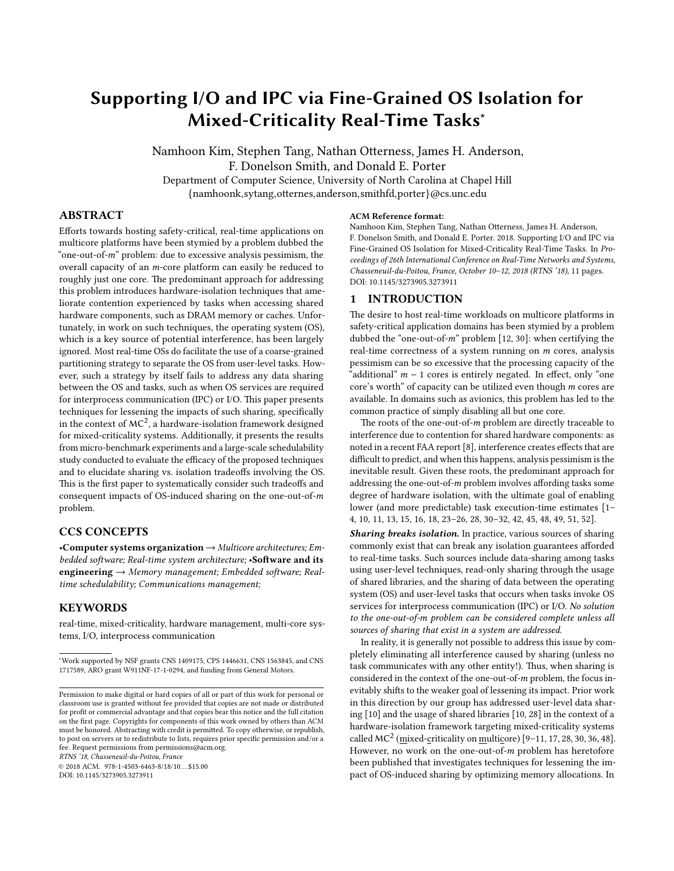# Supporting I/O and IPC via Fine-Grained OS Isolation for Mixed-Criticality Real-Time Tasks<sup>∗</sup>

Namhoon Kim, Stephen Tang, Nathan Otterness, James H. Anderson, F. Donelson Smith, and Donald E. Porter Department of Computer Science, University of North Carolina at Chapel Hill {namhoonk,sytang,oernes,anderson,smithfd,porter}@cs.unc.edu

# ABSTRACT

Efforts towards hosting safety-critical, real-time applications on multicore platforms have been stymied by a problem dubbed the "one-out-of-m" problem: due to excessive analysis pessimism, the overall capacity of an m-core platform can easily be reduced to roughly just one core. The predominant approach for addressing this problem introduces hardware-isolation techniques that ameliorate contention experienced by tasks when accessing shared hardware components, such as DRAM memory or caches. Unfortunately, in work on such techniques, the operating system (OS), which is a key source of potential interference, has been largely ignored. Most real-time OSs do facilitate the use of a coarse-grained partitioning strategy to separate the OS from user-level tasks. However, such a strategy by itself fails to address any data sharing between the OS and tasks, such as when OS services are required for interprocess communication (IPC) or I/O. This paper presents techniques for lessening the impacts of such sharing, specifically in the context of  $MC^2$ , a hardware-isolation framework designed for mixed-criticality systems. Additionally, it presents the results from micro-benchmark experiments and a large-scale schedulability study conducted to evaluate the efficacy of the proposed techniques and to elucidate sharing vs. isolation tradeoffs involving the OS. This is the first paper to systematically consider such tradeoffs and consequent impacts of OS-induced sharing on the one-out-of-m problem.

# CCS CONCEPTS

•Computer systems organization  $\rightarrow$  Multicore architectures; Embedded software; Real-time system architecture; •Software and its engineering  $\rightarrow$  Memory management; Embedded software; Realtime schedulability; Communications management;

#### **KEYWORDS**

real-time, mixed-criticality, hardware management, multi-core systems, I/O, interprocess communication

RTNS '18, Chasseneuil-du-Poitou, France

 $© 2018 ACM. 978-1-4503-6463-8/18/10...$ \$15.00

DOI: 10.1145/3273905.3273911

#### ACM Reference format:

Namhoon Kim, Stephen Tang, Nathan Otterness, James H. Anderson, F. Donelson Smith, and Donald E. Porter. 2018. Supporting I/O and IPC via Fine-Grained OS Isolation for Mixed-Criticality Real-Time Tasks. In Proceedings of 26th International Conference on Real-Time Networks and Systems, Chasseneuil-du-Poitou, France, October 10–12, 2018 (RTNS '18), [11](#page-10-0) pages. DOI: 10.1145/3273905.3273911

#### 1 INTRODUCTION

The desire to host real-time workloads on multicore platforms in safety-critical application domains has been stymied by a problem dubbed the "one-out-of-m" problem [\[12,](#page-10-1) [30\]](#page-10-2): when certifying the real-time correctness of a system running on m cores, analysis pessimism can be so excessive that the processing capacity of the "additional"  $m - 1$  cores is entirely negated. In effect, only "one core's worth" of capacity can be utilized even though m cores are available. In domains such as avionics, this problem has led to the common practice of simply disabling all but one core.

The roots of the one-out-of- $m$  problem are directly traceable to interference due to contention for shared hardware components: as noted in a recent FAA report [\[8\]](#page-10-3), interference creates effects that are difficult to predict, and when this happens, analysis pessimism is the inevitable result. Given these roots, the predominant approach for addressing the one-out-of- $m$  problem involves affording tasks some degree of hardware isolation, with the ultimate goal of enabling lower (and more predictable) task execution-time estimates [\[1–](#page-10-4) [4,](#page-10-5) [10,](#page-10-6) [11,](#page-10-7) [13,](#page-10-8) [15,](#page-10-9) [16,](#page-10-10) [18,](#page-10-11) [23–](#page-10-12)[26,](#page-10-13) [28,](#page-10-14) [30](#page-10-2)[–32,](#page-10-15) [42,](#page-10-16) [45,](#page-10-17) [48,](#page-10-18) [49,](#page-10-19) [51,](#page-10-20) [52\]](#page-10-21).

Sharing breaks isolation. In practice, various sources of sharing commonly exist that can break any isolation guarantees afforded to real-time tasks. Such sources include data-sharing among tasks using user-level techniques, read-only sharing through the usage of shared libraries, and the sharing of data between the operating system (OS) and user-level tasks that occurs when tasks invoke OS services for interprocess communication (IPC) or I/O. No solution to the one-out-of-m problem can be considered complete unless all sources of sharing that exist in a system are addressed.

In reality, it is generally not possible to address this issue by completely eliminating all interference caused by sharing (unless no task communicates with any other entity!). Thus, when sharing is considered in the context of the one-out-of-m problem, the focus inevitably shifts to the weaker goal of lessening its impact. Prior work in this direction by our group has addressed user-level data sharing [\[10\]](#page-10-6) and the usage of shared libraries [\[10,](#page-10-6) [28\]](#page-10-14) in the context of a hardware-isolation framework targeting mixed-criticality systems called MC<sup>2</sup> (mixed-criticality on multicore) [9-[11,](#page-10-7) [17,](#page-10-23) [28,](#page-10-14) [30,](#page-10-2) [36,](#page-10-24) [48\]](#page-10-18). However, no work on the one-out-of-m problem has heretofore been published that investigates techniques for lessening the impact of OS-induced sharing by optimizing memory allocations. In

<sup>∗</sup>Work supported by NSF grants CNS 1409175, CPS 1446631, CNS 1563845, and CNS 1717589, ARO grant W911NF-17-1-0294, and funding from General Motors.

Permission to make digital or hard copies of all or part of this work for personal or classroom use is granted without fee provided that copies are not made or distributed for profit or commercial advantage and that copies bear this notice and the full citation on the first page. Copyrights for components of this work owned by others than  $\rm{ACM}$  ${\rm must}$  be honored. Abstracting with credit is permitted. To copy otherwise, or republish, to post on servers or to redistribute to lists, requires prior specific permission and/or a fee. Request permissions from permissions@acm.org.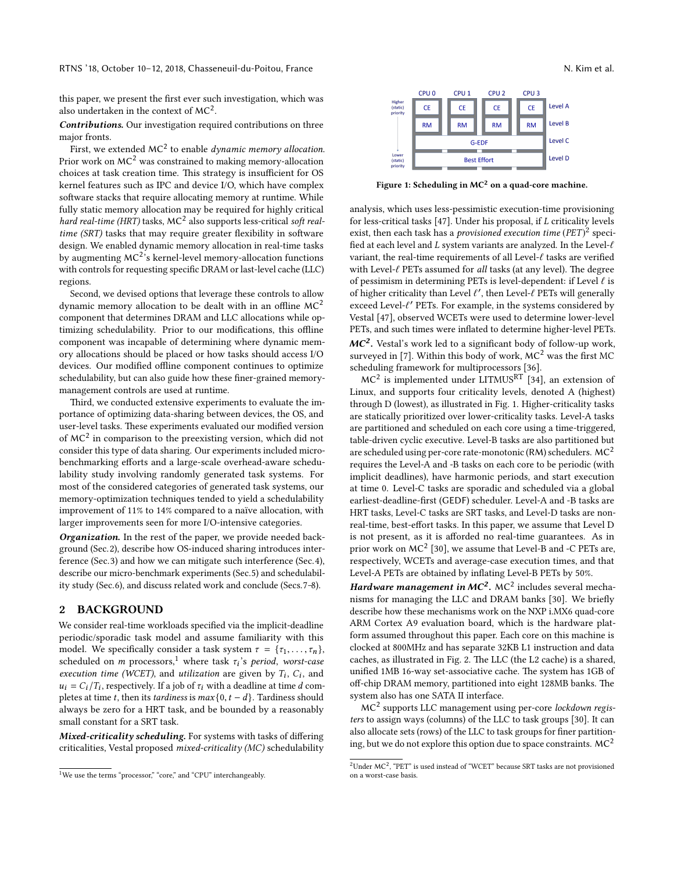this paper, we present the first ever such investigation, which was also undertaken in the context of  $MC<sup>2</sup>$ .

Contributions. Our investigation required contributions on three major fronts.

First, we extended MC $^2$  to enable *dynamic memory allocation*. Prior work on  $MC^2$  was constrained to making memory-allocation choices at task creation time. This strategy is insufficient for OS kernel features such as IPC and device I/O, which have complex software stacks that require allocating memory at runtime. While fully static memory allocation may be required for highly critical hard real-time (HRT) tasks,  $MC^2$  also supports less-critical soft real $time$  (SRT) tasks that may require greater flexibility in software design. We enabled dynamic memory allocation in real-time tasks by augmenting  $MC^2$ 's kernel-level memory-allocation functions with controls for requesting specific DRAM or last-level cache (LLC) regions.

Second, we devised options that leverage these controls to allow dynamic memory allocation to be dealt with in an offline  $MC<sup>2</sup>$ component that determines DRAM and LLC allocations while optimizing schedulability. Prior to our modifications, this offline component was incapable of determining where dynamic memory allocations should be placed or how tasks should access I/O devices. Our modified offline component continues to optimize schedulability, but can also guide how these finer-grained memorymanagement controls are used at runtime.

Third, we conducted extensive experiments to evaluate the importance of optimizing data-sharing between devices, the OS, and user-level tasks. These experiments evaluated our modified version of MC<sup>2</sup> in comparison to the preexisting version, which did not consider this type of data sharing. Our experiments included microbenchmarking efforts and a large-scale overhead-aware schedulability study involving randomly generated task systems. For most of the considered categories of generated task systems, our memory-optimization techniques tended to yield a schedulability improvement of 11% to 14% compared to a naïve allocation, with larger improvements seen for more I/O-intensive categories.

Organization. In the rest of the paper, we provide needed background (Sec.[2\)](#page-1-0), describe how OS-induced sharing introduces interference (Sec[.3\)](#page-2-0) and how we can mitigate such interference (Sec[.4\)](#page-4-0), describe our micro-benchmark experiments (Sec[.5\)](#page-5-0) and schedulability study (Sec.[6\)](#page-7-0), and discuss related work and conclude (Secs[.7](#page-9-0)[–8\)](#page-9-1).

# <span id="page-1-0"></span>2 BACKGROUND

We consider real-time workloads specified via the implicit-deadline periodic/sporadic task model and assume familiarity with this model. We specifically consider a task system  $\tau = {\tau_1, \ldots, \tau_n}$ , scheduled on *m* processors,<sup>[1](#page-1-1)</sup> where task  $\tau_i$ 's period, worst-case<br>execution time (WCET) and utilization are given by T. C. and execution time (WCET), and utilization are given by  $T_i$ ,  $C_i$ , and  $u_i = C_i/T_i$ , respectively. If a job of  $\tau_i$ , with a deadline at time d com $u_i = C_i/T_i$ , respectively. If a job of  $\tau_i$  with a deadline at time d com-<br>pletes at time t, then its tardiness is max $\{0, t - d\}$ . Tardiness should pletes at time t, then its tardiness is  $max{0, t - d}$ . Tardiness should always be zero for a HRT task, and be bounded by a reasonably small constant for a SRT task.

Mixed-criticality scheduling. For systems with tasks of differing criticalities, Vestal proposed mixed-criticality (MC) schedulability

<span id="page-1-3"></span>

Figure 1: Scheduling in  $MC^2$  on a quad-core machine.

analysis, which uses less-pessimistic execution-time provisioning for less-critical tasks [\[47\]](#page-10-25). Under his proposal, if L criticality levels exist, then each task has a *provisioned execution time*  $(PET)^2$  $(PET)^2$  specified at each level and L system variants are analyzed. In the Level- $\ell$ variant, the real-time requirements of all Level- $\ell$  tasks are verified with Level- $\ell$  PETs assumed for all tasks (at any level). The degree of pessimism in determining PETs is level-dependent: if Level  $\ell$  is of higher criticality than Level  $\ell'$ , then Level- $\ell$  PETs will generally exceed Level- $\ell'$  PETs. For example, in the systems considered by exceed Level- $\ell'$  PETs. For example, in the systems considered by<br>Vestal [47], observed WCETs were used to determine lower-level Vestal [\[47\]](#page-10-25), observed WCETs were used to determine lower-level PETs, and such times were inflated to determine higher-level PETs.  $MC<sup>2</sup>$ . Vestal's work led to a significant body of follow-up work, surveyed in [\[7\]](#page-10-26). Within this body of work,  $MC^2$  was the first MC scheduling framework for multiprocessors [\[36\]](#page-10-24).

MC<sup>2</sup> is implemented under LITMUS<sup>RT</sup> [\[34\]](#page-10-27), an extension of Linux, and supports four criticality levels, denoted A (highest) through D (lowest), as illustrated in Fig. [1.](#page-1-3) Higher-criticality tasks are statically prioritized over lower-criticality tasks. Level-A tasks are partitioned and scheduled on each core using a time-triggered, table-driven cyclic executive. Level-B tasks are also partitioned but are scheduled using per-core rate-monotonic (RM) schedulers.  $MC<sup>2</sup>$ requires the Level-A and -B tasks on each core to be periodic (with implicit deadlines), have harmonic periods, and start execution at time 0. Level-C tasks are sporadic and scheduled via a global earliest-deadline-first (GEDF) scheduler. Level-A and -B tasks are HRT tasks, Level-C tasks are SRT tasks, and Level-D tasks are nonreal-time, best-effort tasks. In this paper, we assume that Level D is not present, as it is afforded no real-time guarantees. As in prior work on  $MC^2$  [\[30\]](#page-10-2), we assume that Level-B and -C PETs are, respectively, WCETs and average-case execution times, and that Level-A PETs are obtained by inflating Level-B PETs by 50%.

Hardware management in  $MC^2$ . MC<sup>2</sup> includes several mecha-nisms for managing the LLC and DRAM banks [\[30\]](#page-10-2). We briefly describe how these mechanisms work on the NXP i.MX6 quad-core ARM Cortex A9 evaluation board, which is the hardware platform assumed throughout this paper. Each core on this machine is clocked at 800MHz and has separate 32KB L1 instruction and data caches, as illustrated in Fig. [2.](#page-2-1) The LLC (the L2 cache) is a shared, unified 1MB 16-way set-associative cache. The system has 1GB of off-chip DRAM memory, partitioned into eight 128MB banks. The system also has one SATA II interface.

 $MC<sup>2</sup>$  supports LLC management using per-core lockdown registers to assign ways (columns) of the LLC to task groups [\[30\]](#page-10-2). It can also allocate sets (rows) of the LLC to task groups for finer partitioning, but we do not explore this option due to space constraints.  $MC^2$ 

<span id="page-1-1"></span><sup>&</sup>lt;sup>1</sup>We use the terms "processor," "core," and "CPU" interchangeably.

<span id="page-1-2"></span> $^{2}$ Under MC<sup>2</sup>, "PET" is used instead of "WCET" because SRT tasks are not provisioned on a worst-case basis.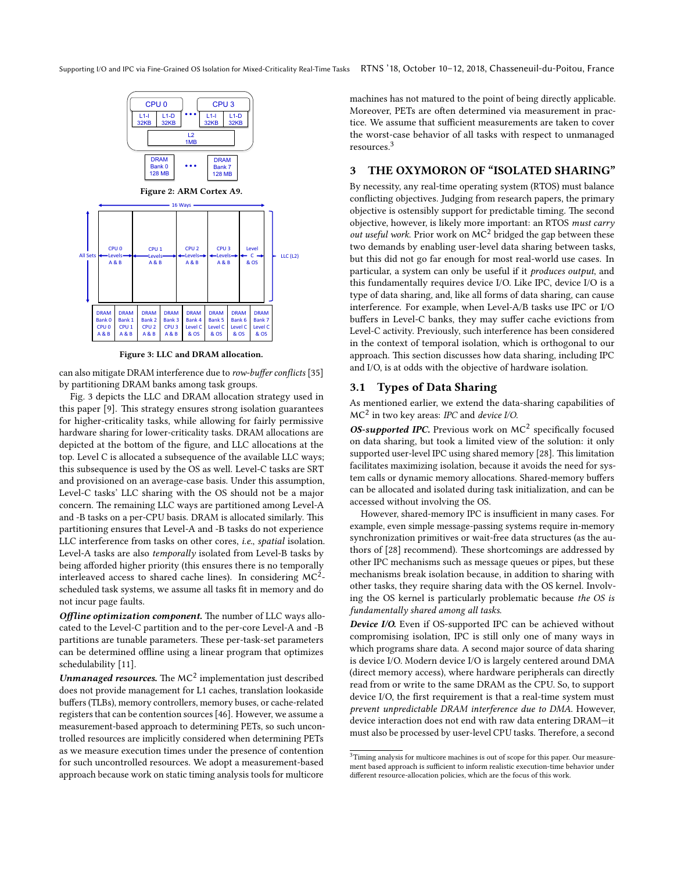<span id="page-2-2"></span><span id="page-2-1"></span>

Figure 3: LLC and DRAM allocation.

can also mitigate DRAM interference due to row-buffer conflicts [\[35\]](#page-10-28) by partitioning DRAM banks among task groups.

Fig. [3](#page-2-2) depicts the LLC and DRAM allocation strategy used in this paper  $[9]$ . This strategy ensures strong isolation guarantees for higher-criticality tasks, while allowing for fairly permissive hardware sharing for lower-criticality tasks. DRAM allocations are depicted at the bottom of the figure, and LLC allocations at the top. Level C is allocated a subsequence of the available LLC ways; this subsequence is used by the OS as well. Level-C tasks are SRT and provisioned on an average-case basis. Under this assumption, Level-C tasks' LLC sharing with the OS should not be a major concern. The remaining LLC ways are partitioned among Level-A and -B tasks on a per-CPU basis. DRAM is allocated similarly. This partitioning ensures that Level-A and -B tasks do not experience LLC interference from tasks on other cores, i.e., spatial isolation. Level-A tasks are also temporally isolated from Level-B tasks by being afforded higher priority (this ensures there is no temporally interleaved access to shared cache lines). In considering  $MC^2$ scheduled task systems, we assume all tasks fit in memory and do not incur page faults.

Offline optimization component. The number of LLC ways allocated to the Level-C partition and to the per-core Level-A and -B partitions are tunable parameters. These per-task-set parameters can be determined offline using a linear program that optimizes schedulability [\[11\]](#page-10-7).

Unmanaged resources. The  $MC^2$  implementation just described does not provide management for L1 caches, translation lookaside buffers (TLBs), memory controllers, memory buses, or cache-related registers that can be contention sources [\[46\]](#page-10-29). However, we assume a measurement-based approach to determining PETs, so such uncontrolled resources are implicitly considered when determining PETs as we measure execution times under the presence of contention for such uncontrolled resources. We adopt a measurement-based approach because work on static timing analysis tools for multicore

machines has not matured to the point of being directly applicable. Moreover, PETs are often determined via measurement in practice. We assume that sufficient measurements are taken to cover the worst-case behavior of all tasks with respect to unmanaged resources.[3](#page-2-3)

# <span id="page-2-0"></span>3 THE OXYMORON OF "ISOLATED SHARING"

By necessity, any real-time operating system (RTOS) must balance conflicting objectives. Judging from research papers, the primary objective is ostensibly support for predictable timing. The second objective, however, is likely more important: an RTOS must carry *out useful work.* Prior work on  $MC^2$  bridged the gap between these two demands by enabling user-level data sharing between tasks, but this did not go far enough for most real-world use cases. In particular, a system can only be useful if it produces output, and this fundamentally requires device I/O. Like IPC, device I/O is a type of data sharing, and, like all forms of data sharing, can cause interference. For example, when Level-A/B tasks use IPC or I/O buffers in Level-C banks, they may suffer cache evictions from Level-C activity. Previously, such interference has been considered in the context of temporal isolation, which is orthogonal to our approach. This section discusses how data sharing, including IPC and I/O, is at odds with the objective of hardware isolation.

#### 3.1 Types of Data Sharing

As mentioned earlier, we extend the data-sharing capabilities of  $MC<sup>2</sup>$  in two key areas: IPC and device I/O.

OS-supported IPC. Previous work on  $MC^2$  specifically focused on data sharing, but took a limited view of the solution: it only supported user-level IPC using shared memory [\[28\]](#page-10-14). This limitation facilitates maximizing isolation, because it avoids the need for system calls or dynamic memory allocations. Shared-memory buffers can be allocated and isolated during task initialization, and can be accessed without involving the OS.

However, shared-memory IPC is insufficient in many cases. For example, even simple message-passing systems require in-memory synchronization primitives or wait-free data structures (as the au-thors of [\[28\]](#page-10-14) recommend). These shortcomings are addressed by other IPC mechanisms such as message queues or pipes, but these mechanisms break isolation because, in addition to sharing with other tasks, they require sharing data with the OS kernel. Involving the OS kernel is particularly problematic because the OS is fundamentally shared among all tasks.

Device I/O. Even if OS-supported IPC can be achieved without compromising isolation, IPC is still only one of many ways in which programs share data. A second major source of data sharing is device I/O. Modern device I/O is largely centered around DMA (direct memory access), where hardware peripherals can directly read from or write to the same DRAM as the CPU. So, to support device I/O, the first requirement is that a real-time system must prevent unpredictable DRAM interference due to DMA. However, device interaction does not end with raw data entering DRAM—it must also be processed by user-level CPU tasks. Therefore, a second

<span id="page-2-3"></span> ${}^{3}$ Timing analysis for multicore machines is out of scope for this paper. Our measurement based approach is sufficient to inform realistic execution-time behavior under different resource-allocation policies, which are the focus of this work.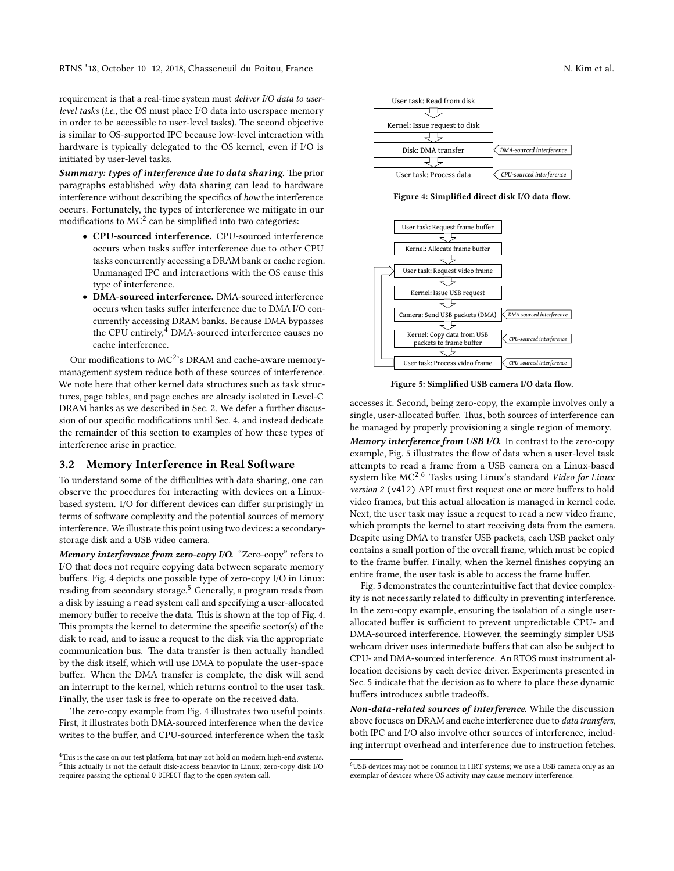requirement is that a real-time system must deliver I/O data to userlevel tasks (i.e., the OS must place I/O data into userspace memory in order to be accessible to user-level tasks). The second objective is similar to OS-supported IPC because low-level interaction with hardware is typically delegated to the OS kernel, even if I/O is initiated by user-level tasks.

Summary: types of interference due to data sharing. The prior paragraphs established why data sharing can lead to hardware interference without describing the specifics of how the interference occurs. Fortunately, the types of interference we mitigate in our modifications to  $MC^2$  can be simplified into two categories:

- CPU-sourced interference. CPU-sourced interference occurs when tasks suffer interference due to other CPU tasks concurrently accessing a DRAM bank or cache region. Unmanaged IPC and interactions with the OS cause this type of interference.
- DMA-sourced interference. DMA-sourced interference occurs when tasks suffer interference due to DMA I/O concurrently accessing DRAM banks. Because DMA bypasses the CPU entirely,<sup>[4](#page-3-0)</sup> DMA-sourced interference causes no cache interference.

Our modifications to MC $^{2}$ 's DRAM and cache-aware memorymanagement system reduce both of these sources of interference. We note here that other kernel data structures such as task structures, page tables, and page caches are already isolated in Level-C DRAM banks as we described in Sec. [2.](#page-1-0) We defer a further discus-sion of our specific modifications until Sec. [4,](#page-4-0) and instead dedicate the remainder of this section to examples of how these types of interference arise in practice.

# <span id="page-3-5"></span>3.2 Memory Interference in Real Software

To understand some of the difficulties with data sharing, one can observe the procedures for interacting with devices on a Linuxbased system. I/O for different devices can differ surprisingly in terms of software complexity and the potential sources of memory interference. We illustrate this point using two devices: a secondarystorage disk and a USB video camera.

Memory interference from zero-copy I/O. "Zero-copy" refers to I/O that does not require copying data between separate memory buffers. Fig. [4](#page-3-1) depicts one possible type of zero-copy I/O in Linux: reading from secondary storage.<sup>[5](#page-3-2)</sup> Generally, a program reads from a disk by issuing a read system call and specifying a user-allocated memory buffer to receive the data. This is shown at the top of Fig. [4.](#page-3-1) This prompts the kernel to determine the specific sector(s) of the disk to read, and to issue a request to the disk via the appropriate communication bus. The data transfer is then actually handled by the disk itself, which will use DMA to populate the user-space buffer. When the DMA transfer is complete, the disk will send an interrupt to the kernel, which returns control to the user task. Finally, the user task is free to operate on the received data.

The zero-copy example from Fig. [4](#page-3-1) illustrates two useful points. First, it illustrates both DMA-sourced interference when the device writes to the buffer, and CPU-sourced interference when the task

<span id="page-3-1"></span>

Figure 4: Simplified direct disk I/O data flow.

<span id="page-3-3"></span>

Figure 5: Simplified USB camera I/O data flow.

accesses it. Second, being zero-copy, the example involves only a single, user-allocated buffer. Thus, both sources of interference can be managed by properly provisioning a single region of memory.

Memory interference from USB I/O. In contrast to the zero-copy example, Fig. [5](#page-3-3) illustrates the flow of data when a user-level task attempts to read a frame from a USB camera on a Linux-based system like MC<sup>2</sup>.<sup>[6](#page-3-4)</sup> Tasks using Linux's standard Video for Linux version 2 (v412) API must first request one or more buffers to hold video frames, but this actual allocation is managed in kernel code. Next, the user task may issue a request to read a new video frame, which prompts the kernel to start receiving data from the camera. Despite using DMA to transfer USB packets, each USB packet only contains a small portion of the overall frame, which must be copied to the frame buffer. Finally, when the kernel finishes copying an entire frame, the user task is able to access the frame buffer.

Fig. [5](#page-3-3) demonstrates the counterintuitive fact that device complexity is not necessarily related to difficulty in preventing interference. In the zero-copy example, ensuring the isolation of a single userallocated buffer is sufficient to prevent unpredictable CPU- and DMA-sourced interference. However, the seemingly simpler USB webcam driver uses intermediate buffers that can also be subject to CPU- and DMA-sourced interference. An RTOS must instrument allocation decisions by each device driver. Experiments presented in Sec. [5](#page-5-0) indicate that the decision as to where to place these dynamic buffers introduces subtle tradeoffs.

Non-data-related sources of interference. While the discussion above focuses on DRAM and cache interference due to data transfers, both IPC and I/O also involve other sources of interference, including interrupt overhead and interference due to instruction fetches.

<span id="page-3-2"></span><span id="page-3-0"></span><sup>&</sup>lt;sup>4</sup>This is the case on our test platform, but may not hold on modern high-end systems.  $5$ This actually is not the default disk-access behavior in Linux; zero-copy disk I/O requires passing the optional O\_DIRECT flag to the open system call.

<span id="page-3-4"></span><sup>6</sup>USB devices may not be common in HRT systems; we use a USB camera only as an exemplar of devices where OS activity may cause memory interference.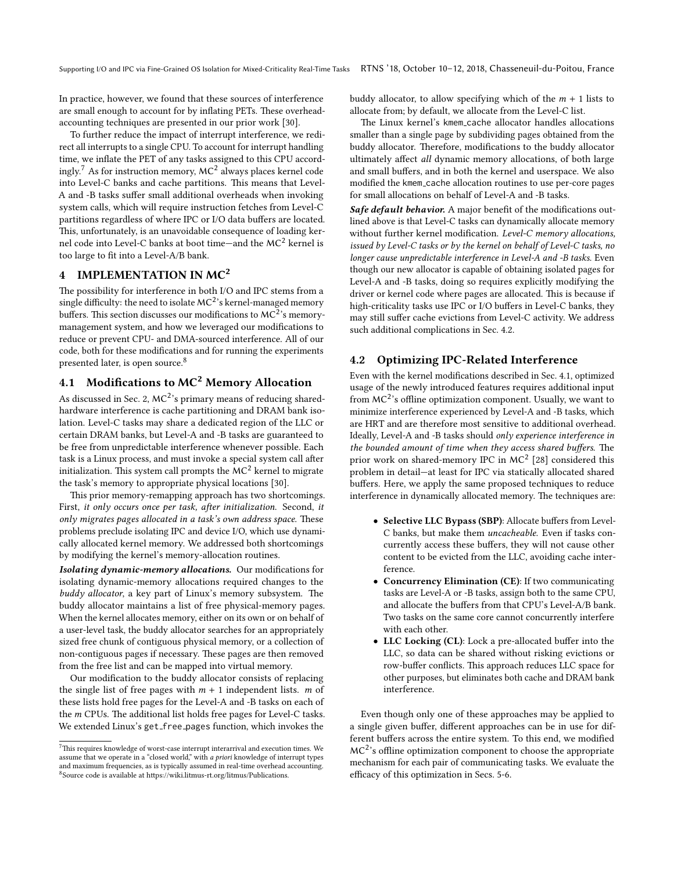In practice, however, we found that these sources of interference are small enough to account for by inflating PETs. These overheadaccounting techniques are presented in our prior work [\[30\]](#page-10-2).

To further reduce the impact of interrupt interference, we redirect all interrupts to a single CPU. To account for interrupt handling time, we inflate the PET of any tasks assigned to this CPU accord-ingly.<sup>[7](#page-4-1)</sup> As for instruction memory, MC<sup>2</sup> always places kernel code into Level-C banks and cache partitions. This means that Level-A and -B tasks suffer small additional overheads when invoking system calls, which will require instruction fetches from Level-C partitions regardless of where IPC or I/O data buffers are located. This, unfortunately, is an unavoidable consequence of loading kernel code into Level-C banks at boot time—and the  $MC<sup>2</sup>$  kernel is too large to fit into a Level-A/B bank.

# <span id="page-4-0"></span>4 IMPLEMENTATION IN MC<sup>2</sup>

The possibility for interference in both I/O and IPC stems from a single difficulty: the need to isolate  $\mathsf{MC}^2$ 's kernel-managed memory buffers. This section discusses our modifications to  $MC^2$ 's memorymanagement system, and how we leveraged our modifications to reduce or prevent CPU- and DMA-sourced interference. All of our code, both for these modifications and for running the experiments presented later, is open source.[8](#page-4-2)

# <span id="page-4-4"></span>4.1 Modifications to  $MC^2$  Memory Allocation

As discussed in Sec. [2,](#page-1-0)  $MC^2$ 's primary means of reducing sharedhardware interference is cache partitioning and DRAM bank isolation. Level-C tasks may share a dedicated region of the LLC or certain DRAM banks, but Level-A and -B tasks are guaranteed to be free from unpredictable interference whenever possible. Each task is a Linux process, and must invoke a special system call after initialization. This system call prompts the  $MC^2$  kernel to migrate the task's memory to appropriate physical locations [\[30\]](#page-10-2).

This prior memory-remapping approach has two shortcomings. First, it only occurs once per task, after initialization. Second, it only migrates pages allocated in a task's own address space. These problems preclude isolating IPC and device I/O, which use dynamically allocated kernel memory. We addressed both shortcomings by modifying the kernel's memory-allocation routines.

Isolating dynamic-memory allocations. Our modifications for isolating dynamic-memory allocations required changes to the buddy allocator, a key part of Linux's memory subsystem. The buddy allocator maintains a list of free physical-memory pages. When the kernel allocates memory, either on its own or on behalf of a user-level task, the buddy allocator searches for an appropriately sized free chunk of contiguous physical memory, or a collection of non-contiguous pages if necessary. These pages are then removed from the free list and can be mapped into virtual memory.

Our modification to the buddy allocator consists of replacing the single list of free pages with  $m + 1$  independent lists. m of these lists hold free pages for the Level-A and -B tasks on each of the  $m$  CPUs. The additional list holds free pages for Level-C tasks. We extended Linux's get\_free\_pages function, which invokes the

buddy allocator, to allow specifying which of the  $m + 1$  lists to allocate from; by default, we allocate from the Level-C list.

The Linux kernel's kmem\_cache allocator handles allocations smaller than a single page by subdividing pages obtained from the buddy allocator. Therefore, modifications to the buddy allocator ultimately affect all dynamic memory allocations, of both large and small buffers, and in both the kernel and userspace. We also modified the kmem\_cache allocation routines to use per-core pages for small allocations on behalf of Level-A and -B tasks.

Safe default behavior. A major benefit of the modifications outlined above is that Level-C tasks can dynamically allocate memory without further kernel modification. Level-C memory allocations, issued by Level-C tasks or by the kernel on behalf of Level-C tasks, no longer cause unpredictable interference in Level-A and -B tasks. Even though our new allocator is capable of obtaining isolated pages for Level-A and -B tasks, doing so requires explicitly modifying the driver or kernel code where pages are allocated. This is because if high-criticality tasks use IPC or I/O buffers in Level-C banks, they may still suffer cache evictions from Level-C activity. We address such additional complications in Sec. [4.2.](#page-4-3)

#### <span id="page-4-3"></span>4.2 Optimizing IPC-Related Interference

Even with the kernel modifications described in Sec. [4.1,](#page-4-4) optimized usage of the newly introduced features requires additional input from  $MC^2$ 's offline optimization component. Usually, we want to minimize interference experienced by Level-A and -B tasks, which are HRT and are therefore most sensitive to additional overhead. Ideally, Level-A and -B tasks should only experience interference in the bounded amount of time when they access shared buffers. The prior work on shared-memory IPC in MC<sup>2</sup> [\[28\]](#page-10-14) considered this problem in detail—at least for IPC via statically allocated shared buffers. Here, we apply the same proposed techniques to reduce interference in dynamically allocated memory. The techniques are:

- Selective LLC Bypass (SBP): Allocate buffers from Level-C banks, but make them uncacheable. Even if tasks concurrently access these buffers, they will not cause other content to be evicted from the LLC, avoiding cache interference.
- Concurrency Elimination (CE): If two communicating tasks are Level-A or -B tasks, assign both to the same CPU, and allocate the buffers from that CPU's Level-A/B bank. Two tasks on the same core cannot concurrently interfere with each other.
- LLC Locking (CL): Lock a pre-allocated buffer into the LLC, so data can be shared without risking evictions or row-buffer conflicts. This approach reduces LLC space for other purposes, but eliminates both cache and DRAM bank interference.

Even though only one of these approaches may be applied to a single given buffer, different approaches can be in use for different buffers across the entire system. To this end, we modified  $MC<sup>2</sup>$ 's offline optimization component to choose the appropriate mechanism for each pair of communicating tasks. We evaluate the efficacy of this optimization in Secs. [5-](#page-5-0)[6.](#page-7-0)

<span id="page-4-2"></span><span id="page-4-1"></span> ${\rm ^7This}$  requires knowledge of worst-case interrupt interarrival and execution times. We assume that we operate in a "closed world," with a priori knowledge of interrupt types and maximum frequencies, as is typically assumed in real-time overhead accounting.  $8$ Source code is available at https://wiki.litmus-rt.org/litmus/Publications.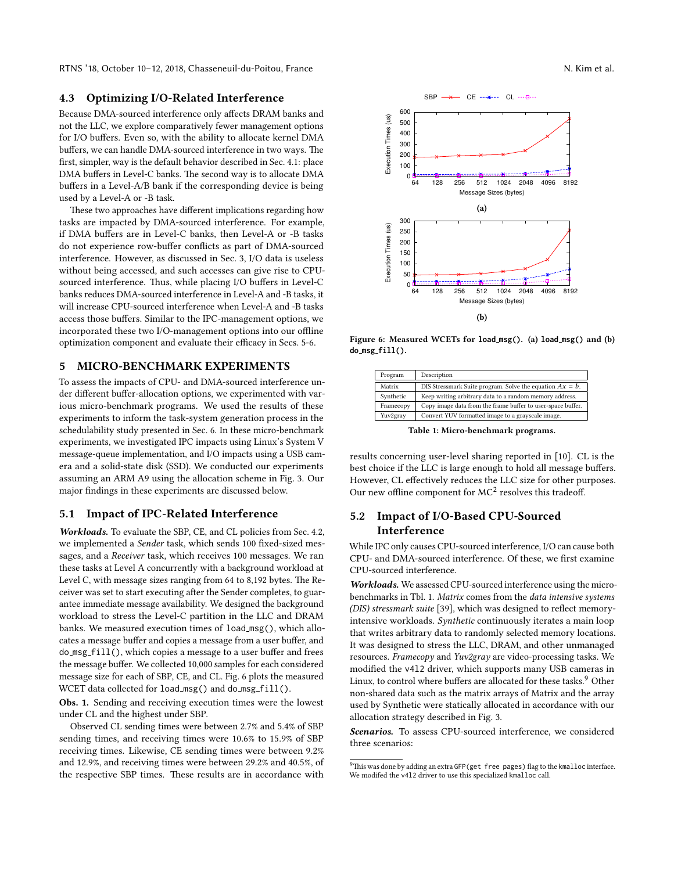#### <span id="page-5-5"></span>4.3 Optimizing I/O-Related Interference

Because DMA-sourced interference only affects DRAM banks and not the LLC, we explore comparatively fewer management options for I/O buffers. Even so, with the ability to allocate kernel DMA buffers, we can handle DMA-sourced interference in two ways. The first, simpler, way is the default behavior described in Sec. [4.1:](#page-4-4) place DMA buffers in Level-C banks. The second way is to allocate DMA buffers in a Level-A/B bank if the corresponding device is being used by a Level-A or -B task.

These two approaches have different implications regarding how tasks are impacted by DMA-sourced interference. For example, if DMA buffers are in Level-C banks, then Level-A or -B tasks do not experience row-buffer conflicts as part of DMA-sourced interference. However, as discussed in Sec. [3,](#page-2-0) I/O data is useless without being accessed, and such accesses can give rise to CPUsourced interference. Thus, while placing I/O buffers in Level-C banks reduces DMA-sourced interference in Level-A and -B tasks, it will increase CPU-sourced interference when Level-A and -B tasks access those buffers. Similar to the IPC-management options, we incorporated these two I/O-management options into our offline optimization component and evaluate their efficacy in Secs. [5-](#page-5-0)[6.](#page-7-0)

#### <span id="page-5-0"></span>5 MICRO-BENCHMARK EXPERIMENTS

To assess the impacts of CPU- and DMA-sourced interference under different buffer-allocation options, we experimented with various micro-benchmark programs. We used the results of these experiments to inform the task-system generation process in the schedulability study presented in Sec. [6.](#page-7-0) In these micro-benchmark experiments, we investigated IPC impacts using Linux's System V message-queue implementation, and I/O impacts using a USB camera and a solid-state disk (SSD). We conducted our experiments assuming an ARM A9 using the allocation scheme in Fig. [3.](#page-2-2) Our major findings in these experiments are discussed below.

#### 5.1 Impact of IPC-Related Interference

Workloads. To evaluate the SBP, CE, and CL policies from Sec. [4.2,](#page-4-3) we implemented a Sender task, which sends 100 fixed-sized messages, and a Receiver task, which receives 100 messages. We ran these tasks at Level A concurrently with a background workload at Level C, with message sizes ranging from 64 to 8,192 bytes. The Receiver was set to start executing after the Sender completes, to guarantee immediate message availability. We designed the background workload to stress the Level-C partition in the LLC and DRAM banks. We measured execution times of load msg(), which allocates a message buffer and copies a message from a user buffer, and do\_msg\_fill(), which copies a message to a user buffer and frees the message buffer. We collected 10,000 samples for each considered message size for each of SBP, CE, and CL. Fig. [6](#page-5-1) plots the measured WCET data collected for load\_msg() and do\_msg\_fill().

Obs. 1. Sending and receiving execution times were the lowest under CL and the highest under SBP.

Observed CL sending times were between 2.7% and 5.4% of SBP sending times, and receiving times were 10.6% to 15.9% of SBP receiving times. Likewise, CE sending times were between 9.2% and 12.9%, and receiving times were between 29.2% and 40.5%, of the respective SBP times. These results are in accordance with

<span id="page-5-1"></span>

Figure 6: Measured WCETs for **load msg()**. (a) **load msg()** and (b) **do msg fill()**.

<span id="page-5-2"></span>

| Program   | Description                                                 |
|-----------|-------------------------------------------------------------|
| Matrix    | DIS Stressmark Suite program. Solve the equation $Ax = b$ . |
| Synthetic | Keep writing arbitrary data to a random memory address.     |
| Framecopy | Copy image data from the frame buffer to user-space buffer. |
| Yuv2gray  | Convert YUV formatted image to a grayscale image.           |
|           |                                                             |

Table 1: Micro-benchmark programs.

results concerning user-level sharing reported in [\[10\]](#page-10-6). CL is the best choice if the LLC is large enough to hold all message buffers. However, CL effectively reduces the LLC size for other purposes. Our new offline component for  $MC^2$  resolves this tradeoff.

# <span id="page-5-4"></span>5.2 Impact of I/O-Based CPU-Sourced Interference

While IPC only causes CPU-sourced interference, I/O can cause both CPU- and DMA-sourced interference. Of these, we first examine CPU-sourced interference.

Workloads. We assessed CPU-sourced interference using the microbenchmarks in Tbl. [1.](#page-5-2) Matrix comes from the data intensive systems (DIS) stressmark suite [\[39\]](#page-10-30), which was designed to reflect memoryintensive workloads. Synthetic continuously iterates a main loop that writes arbitrary data to randomly selected memory locations. It was designed to stress the LLC, DRAM, and other unmanaged resources. Framecopy and Yuv2gray are video-processing tasks. We modified the v412 driver, which supports many USB cameras in Linux, to control where buffers are allocated for these tasks.<sup>[9](#page-5-3)</sup> Other non-shared data such as the matrix arrays of Matrix and the array used by Synthetic were statically allocated in accordance with our allocation strategy described in Fig. [3.](#page-2-2)

Scenarios. To assess CPU-sourced interference, we considered three scenarios:

<span id="page-5-3"></span> $9$ This was done by adding an extra GFP(get free pages) flag to the kmalloc interface. We modifed the v4l2 driver to use this specialized kmalloc call.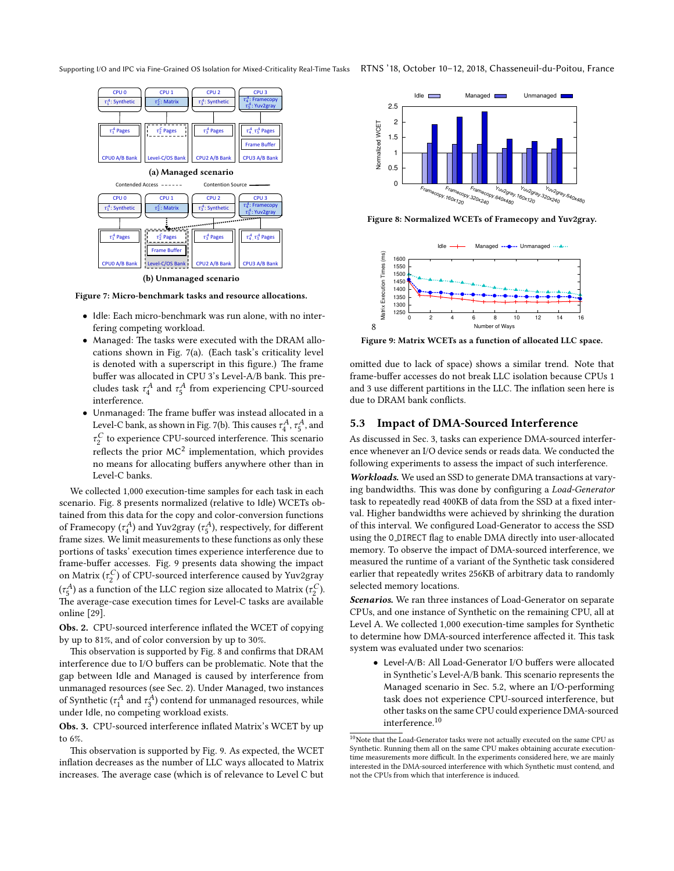<span id="page-6-0"></span>



(b) Unmanaged scenario

Figure 7: Micro-benchmark tasks and resource allocations.

- Idle: Each micro-benchmark was run alone, with no interfering competing workload.
- Managed: The tasks were executed with the DRAM allocations shown in Fig. [7\(a\)](#page-6-0). (Each task's criticality level is denoted with a superscript in this figure.) The frame buffer was allocated in CPU 3's Level-A/B bank. This precludes task  $\tau_4^A$  and  $\tau_5^A$  from experiencing CPU-sourced<br>interference interference.
- Unmanaged: The frame buffer was instead allocated in a Level-C bank, as shown in Fig. [7\(b\)](#page-6-0). This causes  $\tau_4^A$ ,  $\tau_5^A$ , and  $\tau_6^C$  to annexious CBU squared interference. This assumes  $r<sub>2</sub>$  reflects the prior MC<sup>2</sup> implementation, which provides  $\frac{C}{2}$  to experience CPU-sourced interference. This scenario no means for allocating buffers anywhere other than in Level-C banks.

We collected 1,000 execution-time samples for each task in each scenario. Fig. [8](#page-6-1) presents normalized (relative to Idle) WCETs obtained from this data for the copy and color-conversion functions of Framecopy ( $\tau_A^A$ ) and Yuv2gray ( $\tau_A^A$ ), respectively, for different<br>frame sizes. We limit measurements to these functions as only these frame sizes. We limit measurements to these functions as only these portions of tasks' execution times experience interference due to frame-buffer accesses. Fig. [9](#page-6-2) presents data showing the impact on Matrix  $(\tau_2^C)$  of CPU-sourced interference caused by Yuv2gray ( $\tau_5^A$ ) as a function of the LLC region size allocated to Matrix ( $\tau_2^C$ ).<br>The average-case execution times for Lavel-C tasks are available The average-case execution times for Level-C tasks are available online [\[29\]](#page-10-31).

Obs. 2. CPU-sourced interference inflated the WCET of copying by up to 81%, and of color conversion by up to 30%.

This observation is supported by Fig. [8](#page-6-1) and confirms that DRAM interference due to I/O buffers can be problematic. Note that the gap between Idle and Managed is caused by interference from unmanaged resources (see Sec. [2\)](#page-1-0). Under Managed, two instances of Synthetic ( $\tau_1^A$  and  $\tau_3^A$ ) contend for unmanaged resources, while<br>under Idle no competing workload exists under Idle, no competing workload exists.

Obs. 3. CPU-sourced interference inflated Matrix's WCET by up to 6%.

This observation is supported by Fig. [9.](#page-6-2) As expected, the WCET inflation decreases as the number of LLC ways allocated to Matrix increases. The average case (which is of relevance to Level C but

<span id="page-6-1"></span>

Figure 8: Normalized WCETs of Framecopy and Yuv2gray.

<span id="page-6-2"></span>

Figure 9: Matrix WCETs as a function of allocated LLC space.

omitted due to lack of space) shows a similar trend. Note that frame-buffer accesses do not break LLC isolation because CPUs 1 and 3 use different partitions in the LLC. The inflation seen here is due to DRAM bank conflicts.

#### 5.3 Impact of DMA-Sourced Interference

As discussed in Sec. [3,](#page-2-0) tasks can experience DMA-sourced interference whenever an I/O device sends or reads data. We conducted the following experiments to assess the impact of such interference.

Workloads. We used an SSD to generate DMA transactions at varying bandwidths. This was done by configuring a Load-Generator task to repeatedly read 400KB of data from the SSD at a fixed interval. Higher bandwidths were achieved by shrinking the duration of this interval. We configured Load-Generator to access the SSD using the O\_DIRECT flag to enable DMA directly into user-allocated memory. To observe the impact of DMA-sourced interference, we measured the runtime of a variant of the Synthetic task considered earlier that repeatedly writes 256KB of arbitrary data to randomly selected memory locations.

Scenarios. We ran three instances of Load-Generator on separate CPUs, and one instance of Synthetic on the remaining CPU, all at Level A. We collected 1,000 execution-time samples for Synthetic to determine how DMA-sourced interference affected it. This task system was evaluated under two scenarios:

• Level-A/B: All Load-Generator I/O buffers were allocated in Synthetic's Level-A/B bank. This scenario represents the Managed scenario in Sec. [5.2,](#page-5-4) where an I/O-performing task does not experience CPU-sourced interference, but other tasks on the same CPU could experience DMA-sourced interference.[10](#page-6-3)

<span id="page-6-3"></span> $^{10}\rm{Note}$  that the Load-Generator tasks were not actually executed on the same CPU as Synthetic. Running them all on the same CPU makes obtaining accurate executiontime measurements more difficult. In the experiments considered here, we are mainly interested in the DMA-sourced interference with which Synthetic must contend, and not the CPUs from which that interference is induced.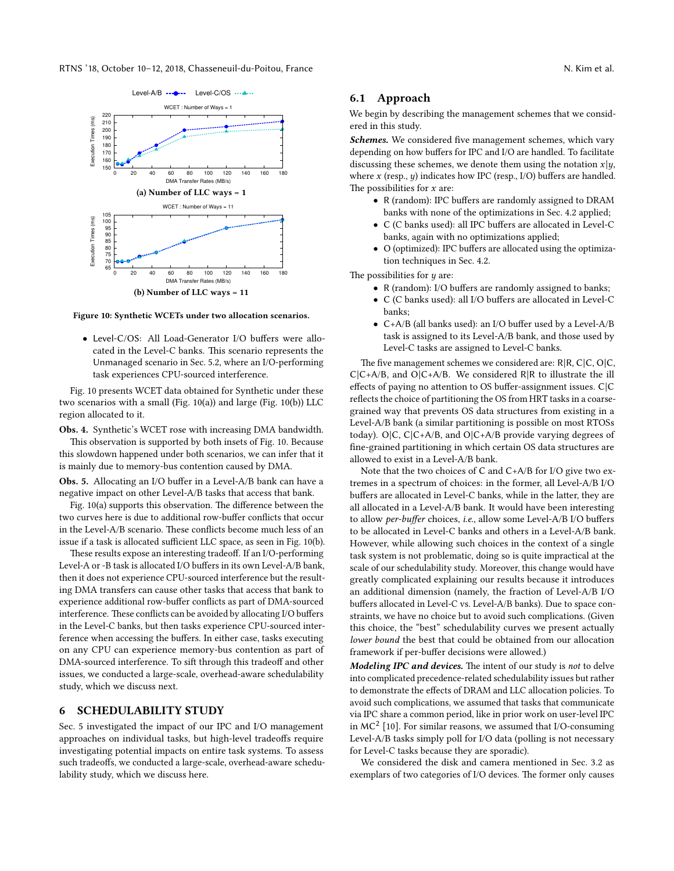<span id="page-7-1"></span>

Figure 10: Synthetic WCETs under two allocation scenarios.

• Level-C/OS: All Load-Generator I/O buffers were allocated in the Level-C banks. This scenario represents the Unmanaged scenario in Sec. [5.2,](#page-5-4) where an I/O-performing task experiences CPU-sourced interference.

Fig. [10](#page-7-1) presents WCET data obtained for Synthetic under these two scenarios with a small (Fig. [10\(a\)](#page-7-1)) and large (Fig. [10\(b\)](#page-7-1)) LLC region allocated to it.

Obs. 4. Synthetic's WCET rose with increasing DMA bandwidth. This observation is supported by both insets of Fig. [10.](#page-7-1) Because

this slowdown happened under both scenarios, we can infer that it is mainly due to memory-bus contention caused by DMA.

Obs. 5. Allocating an I/O buffer in a Level-A/B bank can have a negative impact on other Level-A/B tasks that access that bank.

Fig. [10\(a\)](#page-7-1) supports this observation. The difference between the two curves here is due to additional row-buffer conflicts that occur in the Level-A/B scenario. These conflicts become much less of an issue if a task is allocated sufficient LLC space, as seen in Fig. [10\(b\)](#page-7-1).

These results expose an interesting tradeoff. If an I/O-performing Level-A or -B task is allocated I/O buffers in its own Level-A/B bank, then it does not experience CPU-sourced interference but the resulting DMA transfers can cause other tasks that access that bank to experience additional row-buffer conflicts as part of DMA-sourced interference. These conflicts can be avoided by allocating I/O buffers in the Level-C banks, but then tasks experience CPU-sourced interference when accessing the buffers. In either case, tasks executing on any CPU can experience memory-bus contention as part of DMA-sourced interference. To sift through this tradeoff and other issues, we conducted a large-scale, overhead-aware schedulability study, which we discuss next.

#### <span id="page-7-0"></span>6 SCHEDULABILITY STUDY

Sec. [5](#page-5-0) investigated the impact of our IPC and I/O management approaches on individual tasks, but high-level tradeoffs require investigating potential impacts on entire task systems. To assess such tradeoffs, we conducted a large-scale, overhead-aware schedulability study, which we discuss here.

#### 6.1 Approach

We begin by describing the management schemes that we considered in this study.

Schemes. We considered five management schemes, which vary depending on how buffers for IPC and I/O are handled. To facilitate discussing these schemes, we denote them using the notation  $x | y$ , where  $x$  (resp.,  $y$ ) indicates how IPC (resp., I/O) buffers are handled. The possibilities for  $x$  are:

- R (random): IPC buffers are randomly assigned to DRAM banks with none of the optimizations in Sec. [4.2](#page-4-3) applied;
- $\bullet$  C (C banks used): all IPC buffers are allocated in Level-C banks, again with no optimizations applied;
- $\bullet$  O (optimized): IPC buffers are allocated using the optimization techniques in Sec. [4.2.](#page-4-3)

The possibilities for  $y$  are:

- R (random): I/O buffers are randomly assigned to banks;
- C (C banks used): all I/O buffers are allocated in Level-C banks;
- $C+A/B$  (all banks used): an I/O buffer used by a Level-A/B task is assigned to its Level-A/B bank, and those used by Level-C tasks are assigned to Level-C banks.

The five management schemes we considered are:  $R/R$ ,  $C/C$ ,  $O/C$ ,  $C|C+A/B$ , and  $O|C+A/B$ . We considered R|R to illustrate the ill effects of paying no attention to OS buffer-assignment issues.  $C/C$ reflects the choice of partitioning the OS from HRT tasks in a coarsegrained way that prevents OS data structures from existing in a Level-A/B bank (a similar partitioning is possible on most RTOSs today). O|C, C|C+A/B, and O|C+A/B provide varying degrees of fine-grained partitioning in which certain OS data structures are allowed to exist in a Level-A/B bank.

Note that the two choices of C and C+A/B for I/O give two extremes in a spectrum of choices: in the former, all Level-A/B I/O buffers are allocated in Level-C banks, while in the latter, they are all allocated in a Level-A/B bank. It would have been interesting to allow per-buffer choices, i.e., allow some Level-A/B I/O buffers to be allocated in Level-C banks and others in a Level-A/B bank. However, while allowing such choices in the context of a single task system is not problematic, doing so is quite impractical at the scale of our schedulability study. Moreover, this change would have greatly complicated explaining our results because it introduces an additional dimension (namely, the fraction of Level-A/B I/O buffers allocated in Level-C vs. Level-A/B banks). Due to space constraints, we have no choice but to avoid such complications. (Given this choice, the "best" schedulability curves we present actually lower bound the best that could be obtained from our allocation framework if per-buffer decisions were allowed.)

Modeling IPC and devices. The intent of our study is not to delve into complicated precedence-related schedulability issues but rather to demonstrate the effects of DRAM and LLC allocation policies. To avoid such complications, we assumed that tasks that communicate via IPC share a common period, like in prior work on user-level IPC in  $MC<sup>2</sup>$  [\[10\]](#page-10-6). For similar reasons, we assumed that I/O-consuming Level-A/B tasks simply poll for I/O data (polling is not necessary for Level-C tasks because they are sporadic).

We considered the disk and camera mentioned in Sec. [3.2](#page-3-5) as exemplars of two categories of I/O devices. The former only causes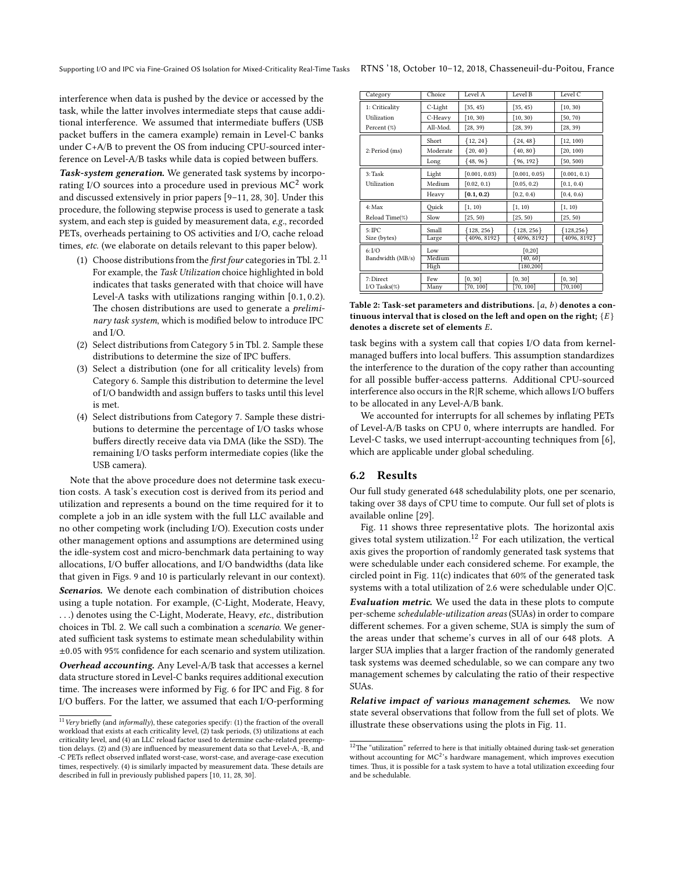interference when data is pushed by the device or accessed by the task, while the latter involves intermediate steps that cause additional interference. We assumed that intermediate buffers (USB packet buffers in the camera example) remain in Level-C banks under C+A/B to prevent the OS from inducing CPU-sourced interference on Level-A/B tasks while data is copied between buffers.

Task-system generation. We generated task systems by incorporating I/O sources into a procedure used in previous  $MC<sup>2</sup>$  work and discussed extensively in prior papers [\[9](#page-10-22)[–11,](#page-10-7) [28,](#page-10-14) [30\]](#page-10-2). Under this procedure, the following stepwise process is used to generate a task system, and each step is guided by measurement data, e.g., recorded PETs, overheads pertaining to OS activities and I/O, cache reload times, etc. (we elaborate on details relevant to this paper below).

- (1) Choose distributions from the *first four* categories in Tbl.  $2.^{11}$  $2.^{11}$  $2.^{11}$ For example, the Task Utilization choice highlighted in bold indicates that tasks generated with that choice will have Level-A tasks with utilizations ranging within [0.1, <sup>0</sup>.2). The chosen distributions are used to generate a *prelimi*nary task system, which is modified below to introduce IPC and I/O.
- (2) Select distributions from Category 5 in Tbl. [2.](#page-8-0) Sample these distributions to determine the size of IPC buffers.
- (3) Select a distribution (one for all criticality levels) from Category 6. Sample this distribution to determine the level of I/O bandwidth and assign buffers to tasks until this level is met.
- (4) Select distributions from Category 7. Sample these distributions to determine the percentage of I/O tasks whose buffers directly receive data via DMA (like the SSD). The remaining I/O tasks perform intermediate copies (like the USB camera).

Note that the above procedure does not determine task execution costs. A task's execution cost is derived from its period and utilization and represents a bound on the time required for it to complete a job in an idle system with the full LLC available and no other competing work (including I/O). Execution costs under other management options and assumptions are determined using the idle-system cost and micro-benchmark data pertaining to way allocations, I/O buffer allocations, and I/O bandwidths (data like that given in Figs. [9](#page-6-2) and [10](#page-7-1) is particularly relevant in our context). Scenarios. We denote each combination of distribution choices using a tuple notation. For example, (C-Light, Moderate, Heavy, . . .) denotes using the C-Light, Moderate, Heavy, etc., distribution choices in Tbl. [2.](#page-8-0) We call such a combination a scenario. We generated sufficient task systems to estimate mean schedulability within

Overhead accounting. Any Level-A/B task that accesses a kernel data structure stored in Level-C banks requires additional execution time. The increases were informed by Fig. [6](#page-5-1) for IPC and Fig. [8](#page-6-1) for I/O buffers. For the latter, we assumed that each I/O-performing

 $\pm 0.05$  with 95% confidence for each scenario and system utilization.

<span id="page-8-0"></span>

| Category               | Choice   | Level A        | Level B        | Level C        |
|------------------------|----------|----------------|----------------|----------------|
| 1: Criticality         | C-Light  | [35, 45)       | [35, 45)       | [10, 30)       |
| Utilization            | C-Heavy  | [10, 30)       | [10, 30)       | [50, 70)       |
| Percent (%)            | All-Mod. | [28, 39)       | [28, 39)       | [28, 39)       |
|                        | Short    | ${12, 24}$     | ${24, 48}$     | [12, 100)      |
| 2: Period (ms)         | Moderate | ${20, 40}$     | ${40, 80}$     | [20, 100)      |
|                        | Long     | ${48, 96}$     | ${96, 192}$    | [50, 500)      |
| 3: Task                | Light    | [0.001, 0.03]  | [0.001, 0.05)  | [0.001, 0.1)   |
| Utilization            | Medium   | [0.02, 0.1)    | [0.05, 0.2)    | [0.1, 0.4)     |
|                        | Heavy    | [0.1, 0.2)     | [0.2, 0.4)     | [0.4, 0.6]     |
| 4:Max                  | Quick    | [1, 10)        | [1, 10)        | [1, 10)        |
| Reload Time(%)         | Slow     | [25, 50)       | [25, 50)       | [25, 50)       |
| 5:IPC                  | Small    | ${128, 256}$   | ${128, 256}$   | ${128,256}$    |
| Size (bytes)           | Large    | ${4096, 8192}$ | ${4096, 8192}$ | ${4096, 8192}$ |
| 6:1/O<br>[0,20]<br>Low |          |                |                |                |
| Bandwidth (MB/s)       | Medium   | [40, 60]       |                |                |
|                        | High     | [180, 200]     |                |                |
| 7: Direct              | Few      | [0, 30]        | [0, 30]        | [0, 30]        |
| I/O Tasks $(\%)$       | Many     | [70, 100]      | [70, 100]      | [70, 100]      |

Table 2: Task-set parameters and distributions.  $[a, b)$  denotes a continuous interval that is closed on the left and open on the right;  ${E}$ denotes a discrete set of elements E.

task begins with a system call that copies I/O data from kernelmanaged buffers into local buffers. This assumption standardizes the interference to the duration of the copy rather than accounting for all possible buffer-access patterns. Additional CPU-sourced interference also occurs in the R $|R$  scheme, which allows I/O buffers to be allocated in any Level-A/B bank.

We accounted for interrupts for all schemes by inflating PETs of Level-A/B tasks on CPU 0, where interrupts are handled. For Level-C tasks, we used interrupt-accounting techniques from [\[6\]](#page-10-32), which are applicable under global scheduling.

### 6.2 Results

Our full study generated 648 schedulability plots, one per scenario, taking over 38 days of CPU time to compute. Our full set of plots is available online [\[29\]](#page-10-31).

Fig. [11](#page-9-2) shows three representative plots. The horizontal axis gives total system utilization.<sup>[12](#page-8-2)</sup> For each utilization, the vertical axis gives the proportion of randomly generated task systems that were schedulable under each considered scheme. For example, the circled point in Fig. [11\(c\)](#page-9-2) indicates that 60% of the generated task systems with a total utilization of 2.6 were schedulable under O|C.

Evaluation metric. We used the data in these plots to compute per-scheme schedulable-utilization areas (SUAs) in order to compare different schemes. For a given scheme, SUA is simply the sum of the areas under that scheme's curves in all of our 648 plots. A larger SUA implies that a larger fraction of the randomly generated task systems was deemed schedulable, so we can compare any two management schemes by calculating the ratio of their respective SUAs.

Relative impact of various management schemes. We now state several observations that follow from the full set of plots. We illustrate these observations using the plots in Fig. [11.](#page-9-2)

<span id="page-8-1"></span> $^{11}\,V$ ery briefly (and  $informally)$  , these categories specify: (1) the fraction of the overall workload that exists at each criticality level, (2) task periods, (3) utilizations at each criticality level, and (4) an LLC reload factor used to determine cache-related preemption delays. (2) and (3) are influenced by measurement data so that Level-A, -B, and -C PETs reflect observed inflated worst-case, worst-case, and average-case execution times, respectively. (4) is similarly impacted by measurement data. These details are described in full in previously published papers [\[10,](#page-10-6) [11,](#page-10-7) [28,](#page-10-14) [30\]](#page-10-2).

<span id="page-8-2"></span> $^{12}\mathrm{The}$  "utilization" referred to here is that initially obtained during task-set generation without accounting for  $MC^2$ 's hardware management, which improves execution times. Thus, it is possible for a task system to have a total utilization exceeding four and be schedulable.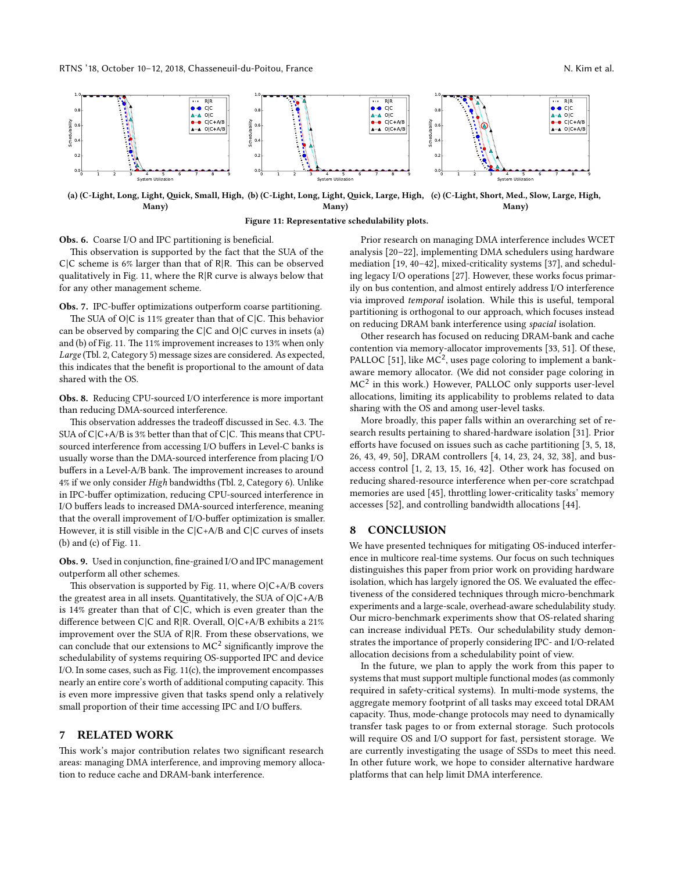<span id="page-9-2"></span>

(a) (C-Light, Long, Light, Quick, Small, High, (b) (C-Light, Long, Light, Quick, Large, High, (c) (C-Light, Short, Med., Slow, Large, High, Many) Many) Many)



Obs. 6. Coarse I/O and IPC partitioning is beneficial.

This observation is supported by the fact that the SUA of the C|C scheme is 6% larger than that of R|R. This can be observed qualitatively in Fig. [11,](#page-9-2) where the R|R curve is always below that for any other management scheme.

Obs. 7. IPC-buffer optimizations outperform coarse partitioning.

The SUA of O|C is 11% greater than that of C|C. This behavior can be observed by comparing the C $|C|$  and O $|C|$  curves in insets (a) and (b) of Fig. [11.](#page-9-2) The 11% improvement increases to 13% when only Large (Tbl. [2,](#page-8-0) Category 5) message sizes are considered. As expected, this indicates that the benefit is proportional to the amount of data shared with the OS.

Obs. 8. Reducing CPU-sourced I/O interference is more important than reducing DMA-sourced interference.

This observation addresses the tradeoff discussed in Sec. [4.3.](#page-5-5) The SUA of  $C|C+A/B$  is 3% better than that of  $C|C$ . This means that CPUsourced interference from accessing I/O buffers in Level-C banks is usually worse than the DMA-sourced interference from placing I/O buffers in a Level-A/B bank. The improvement increases to around 4% if we only consider High bandwidths (Tbl. [2,](#page-8-0) Category 6). Unlike in IPC-buffer optimization, reducing CPU-sourced interference in I/O buffers leads to increased DMA-sourced interference, meaning that the overall improvement of I/O-buffer optimization is smaller. However, it is still visible in the C|C+A/B and C|C curves of insets (b) and (c) of Fig. [11.](#page-9-2)

Obs. 9. Used in conjunction, fine-grained I/O and IPC management outperform all other schemes.

This observation is supported by Fig. [11,](#page-9-2) where  $O|C+A/B$  covers the greatest area in all insets. Quantitatively, the SUA of  $O|C+A/B$ is 14% greater than that of  $C/C$ , which is even greater than the difference between C|C and R|R. Overall, O|C+A/B exhibits a 21% improvement over the SUA of R|R. From these observations, we can conclude that our extensions to  $MC^2$  significantly improve the schedulability of systems requiring OS-supported IPC and device I/O. In some cases, such as Fig. [11\(](#page-9-2)c), the improvement encompasses nearly an entire core's worth of additional computing capacity. This is even more impressive given that tasks spend only a relatively small proportion of their time accessing IPC and I/O buffers.

# <span id="page-9-0"></span>7 RELATED WORK

This work's major contribution relates two significant research areas: managing DMA interference, and improving memory allocation to reduce cache and DRAM-bank interference.

Prior research on managing DMA interference includes WCET analysis [\[20–](#page-10-33)[22\]](#page-10-34), implementing DMA schedulers using hardware mediation [\[19,](#page-10-35) [40–](#page-10-36)[42\]](#page-10-16), mixed-criticality systems [\[37\]](#page-10-37), and scheduling legacy I/O operations [\[27\]](#page-10-38). However, these works focus primarily on bus contention, and almost entirely address I/O interference via improved temporal isolation. While this is useful, temporal partitioning is orthogonal to our approach, which focuses instead on reducing DRAM bank interference using spacial isolation.

Other research has focused on reducing DRAM-bank and cache contention via memory-allocator improvements [\[33,](#page-10-39) [51\]](#page-10-20). Of these, PALLOC [\[51\]](#page-10-20), like  $MC^2$ , uses page coloring to implement a bankaware memory allocator. (We did not consider page coloring in MC<sup>2</sup> in this work.) However, PALLOC only supports user-level allocations, limiting its applicability to problems related to data sharing with the OS and among user-level tasks.

More broadly, this paper falls within an overarching set of research results pertaining to shared-hardware isolation [\[31\]](#page-10-40). Prior efforts have focused on issues such as cache partitioning  $[3, 5, 18,$  $[3, 5, 18,$  $[3, 5, 18,$  $[3, 5, 18,$  $[3, 5, 18,$ [26,](#page-10-13) [43,](#page-10-43) [49,](#page-10-19) [50\]](#page-10-44), DRAM controllers [\[4,](#page-10-5) [14,](#page-10-45) [23,](#page-10-12) [24,](#page-10-46) [32,](#page-10-15) [38\]](#page-10-47), and busaccess control [\[1,](#page-10-4) [2,](#page-10-48) [13,](#page-10-8) [15,](#page-10-9) [16,](#page-10-10) [42\]](#page-10-16). Other work has focused on reducing shared-resource interference when per-core scratchpad memories are used [\[45\]](#page-10-17), throttling lower-criticality tasks' memory accesses [\[52\]](#page-10-21), and controlling bandwidth allocations [\[44\]](#page-10-49).

#### <span id="page-9-1"></span>8 CONCLUSION

We have presented techniques for mitigating OS-induced interference in multicore real-time systems. Our focus on such techniques distinguishes this paper from prior work on providing hardware isolation, which has largely ignored the OS. We evaluated the effectiveness of the considered techniques through micro-benchmark experiments and a large-scale, overhead-aware schedulability study. Our micro-benchmark experiments show that OS-related sharing can increase individual PETs. Our schedulability study demonstrates the importance of properly considering IPC- and I/O-related allocation decisions from a schedulability point of view.

In the future, we plan to apply the work from this paper to systems that must support multiple functional modes (as commonly required in safety-critical systems). In multi-mode systems, the aggregate memory footprint of all tasks may exceed total DRAM capacity. Thus, mode-change protocols may need to dynamically transfer task pages to or from external storage. Such protocols will require OS and I/O support for fast, persistent storage. We are currently investigating the usage of SSDs to meet this need. In other future work, we hope to consider alternative hardware platforms that can help limit DMA interference.